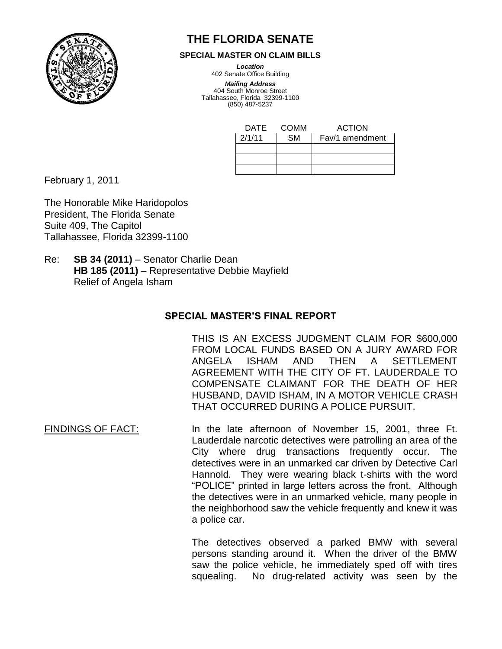

## **THE FLORIDA SENATE**

**SPECIAL MASTER ON CLAIM BILLS**

*Location*

402 Senate Office Building

*Mailing Address* 404 South Monroe Street Tallahassee, Florida 32399-1100 (850) 487-5237

| DATE   | COMM | <b>ACTION</b>   |
|--------|------|-----------------|
| 2/1/11 | SM   | Fav/1 amendment |
|        |      |                 |
|        |      |                 |
|        |      |                 |

February 1, 2011

The Honorable Mike Haridopolos President, The Florida Senate Suite 409, The Capitol Tallahassee, Florida 32399-1100

Re: **SB 34 (2011)** – Senator Charlie Dean **HB 185 (2011)** – Representative Debbie Mayfield Relief of Angela Isham

## **SPECIAL MASTER'S FINAL REPORT**

THIS IS AN EXCESS JUDGMENT CLAIM FOR \$600,000 FROM LOCAL FUNDS BASED ON A JURY AWARD FOR ANGELA ISHAM AND THEN A SETTLEMENT AGREEMENT WITH THE CITY OF FT. LAUDERDALE TO COMPENSATE CLAIMANT FOR THE DEATH OF HER HUSBAND, DAVID ISHAM, IN A MOTOR VEHICLE CRASH THAT OCCURRED DURING A POLICE PURSUIT.

FINDINGS OF FACT: In the late afternoon of November 15, 2001, three Ft. Lauderdale narcotic detectives were patrolling an area of the City where drug transactions frequently occur. The detectives were in an unmarked car driven by Detective Carl Hannold. They were wearing black t-shirts with the word "POLICE" printed in large letters across the front. Although the detectives were in an unmarked vehicle, many people in the neighborhood saw the vehicle frequently and knew it was a police car.

> The detectives observed a parked BMW with several persons standing around it. When the driver of the BMW saw the police vehicle, he immediately sped off with tires squealing. No drug-related activity was seen by the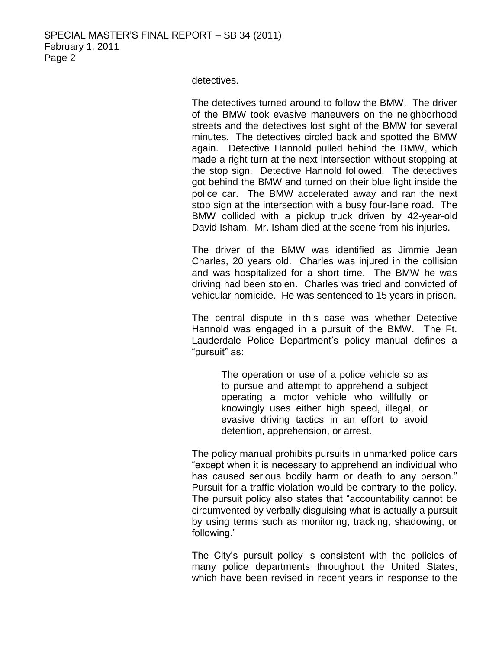detectives.

The detectives turned around to follow the BMW. The driver of the BMW took evasive maneuvers on the neighborhood streets and the detectives lost sight of the BMW for several minutes. The detectives circled back and spotted the BMW again. Detective Hannold pulled behind the BMW, which made a right turn at the next intersection without stopping at the stop sign. Detective Hannold followed. The detectives got behind the BMW and turned on their blue light inside the police car. The BMW accelerated away and ran the next stop sign at the intersection with a busy four-lane road. The BMW collided with a pickup truck driven by 42-year-old David Isham. Mr. Isham died at the scene from his injuries.

The driver of the BMW was identified as Jimmie Jean Charles, 20 years old. Charles was injured in the collision and was hospitalized for a short time. The BMW he was driving had been stolen. Charles was tried and convicted of vehicular homicide. He was sentenced to 15 years in prison.

The central dispute in this case was whether Detective Hannold was engaged in a pursuit of the BMW. The Ft. Lauderdale Police Department's policy manual defines a "pursuit" as:

> The operation or use of a police vehicle so as to pursue and attempt to apprehend a subject operating a motor vehicle who willfully or knowingly uses either high speed, illegal, or evasive driving tactics in an effort to avoid detention, apprehension, or arrest.

The policy manual prohibits pursuits in unmarked police cars "except when it is necessary to apprehend an individual who has caused serious bodily harm or death to any person." Pursuit for a traffic violation would be contrary to the policy. The pursuit policy also states that "accountability cannot be circumvented by verbally disguising what is actually a pursuit by using terms such as monitoring, tracking, shadowing, or following."

The City's pursuit policy is consistent with the policies of many police departments throughout the United States, which have been revised in recent years in response to the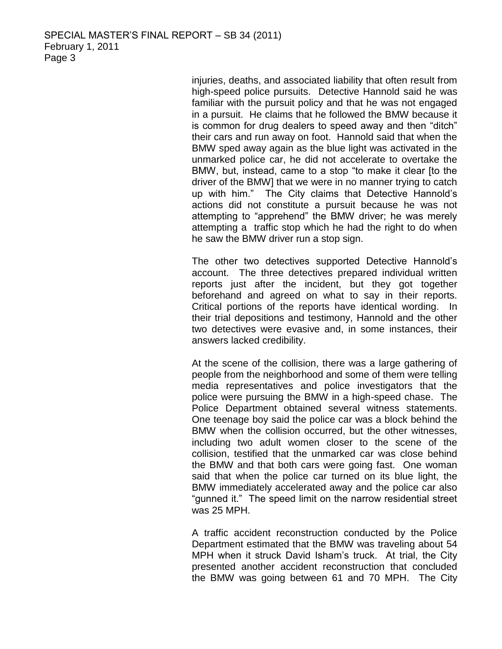injuries, deaths, and associated liability that often result from high-speed police pursuits. Detective Hannold said he was familiar with the pursuit policy and that he was not engaged in a pursuit. He claims that he followed the BMW because it is common for drug dealers to speed away and then "ditch" their cars and run away on foot. Hannold said that when the BMW sped away again as the blue light was activated in the unmarked police car, he did not accelerate to overtake the BMW, but, instead, came to a stop "to make it clear [to the driver of the BMW] that we were in no manner trying to catch up with him." The City claims that Detective Hannold's actions did not constitute a pursuit because he was not attempting to "apprehend" the BMW driver; he was merely attempting a traffic stop which he had the right to do when he saw the BMW driver run a stop sign.

The other two detectives supported Detective Hannold's account. The three detectives prepared individual written reports just after the incident, but they got together beforehand and agreed on what to say in their reports. Critical portions of the reports have identical wording. In their trial depositions and testimony, Hannold and the other two detectives were evasive and, in some instances, their answers lacked credibility.

At the scene of the collision, there was a large gathering of people from the neighborhood and some of them were telling media representatives and police investigators that the police were pursuing the BMW in a high-speed chase. The Police Department obtained several witness statements. One teenage boy said the police car was a block behind the BMW when the collision occurred, but the other witnesses, including two adult women closer to the scene of the collision, testified that the unmarked car was close behind the BMW and that both cars were going fast. One woman said that when the police car turned on its blue light, the BMW immediately accelerated away and the police car also "gunned it." The speed limit on the narrow residential street was 25 MPH.

A traffic accident reconstruction conducted by the Police Department estimated that the BMW was traveling about 54 MPH when it struck David Isham's truck. At trial, the City presented another accident reconstruction that concluded the BMW was going between 61 and 70 MPH. The City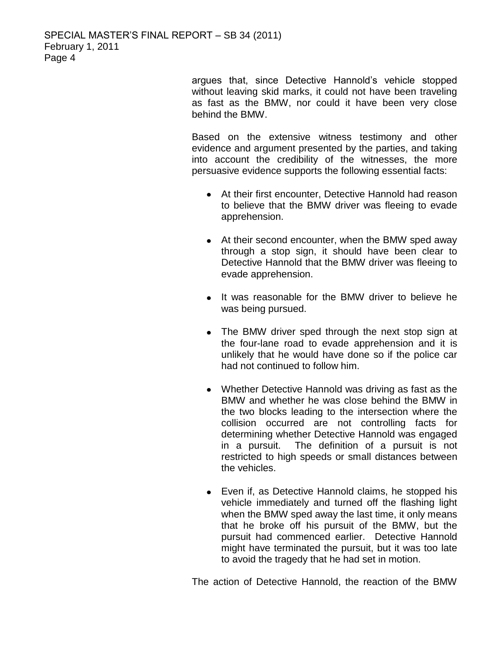argues that, since Detective Hannold's vehicle stopped without leaving skid marks, it could not have been traveling as fast as the BMW, nor could it have been very close behind the BMW.

Based on the extensive witness testimony and other evidence and argument presented by the parties, and taking into account the credibility of the witnesses, the more persuasive evidence supports the following essential facts:

- At their first encounter, Detective Hannold had reason to believe that the BMW driver was fleeing to evade apprehension.
- At their second encounter, when the BMW sped away through a stop sign, it should have been clear to Detective Hannold that the BMW driver was fleeing to evade apprehension.
- It was reasonable for the BMW driver to believe he was being pursued.
- The BMW driver sped through the next stop sign at the four-lane road to evade apprehension and it is unlikely that he would have done so if the police car had not continued to follow him.
- Whether Detective Hannold was driving as fast as the BMW and whether he was close behind the BMW in the two blocks leading to the intersection where the collision occurred are not controlling facts for determining whether Detective Hannold was engaged in a pursuit. The definition of a pursuit is not restricted to high speeds or small distances between the vehicles.
- Even if, as Detective Hannold claims, he stopped his vehicle immediately and turned off the flashing light when the BMW sped away the last time, it only means that he broke off his pursuit of the BMW, but the pursuit had commenced earlier. Detective Hannold might have terminated the pursuit, but it was too late to avoid the tragedy that he had set in motion.

The action of Detective Hannold, the reaction of the BMW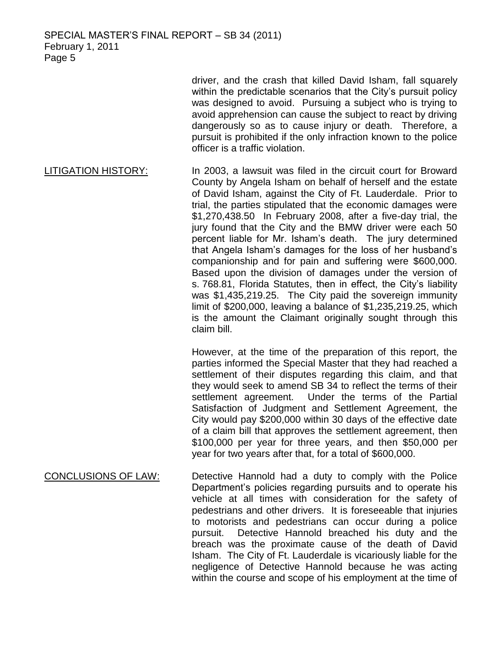driver, and the crash that killed David Isham, fall squarely within the predictable scenarios that the City's pursuit policy was designed to avoid. Pursuing a subject who is trying to avoid apprehension can cause the subject to react by driving dangerously so as to cause injury or death. Therefore, a pursuit is prohibited if the only infraction known to the police officer is a traffic violation.

LITIGATION HISTORY: In 2003, a lawsuit was filed in the circuit court for Broward County by Angela Isham on behalf of herself and the estate of David Isham, against the City of Ft. Lauderdale. Prior to trial, the parties stipulated that the economic damages were \$1,270,438.50 In February 2008, after a five-day trial, the jury found that the City and the BMW driver were each 50 percent liable for Mr. Isham's death. The jury determined that Angela Isham's damages for the loss of her husband's companionship and for pain and suffering were \$600,000. Based upon the division of damages under the version of s. 768.81, Florida Statutes, then in effect, the City's liability was \$1,435,219.25. The City paid the sovereign immunity limit of \$200,000, leaving a balance of \$1,235,219.25, which is the amount the Claimant originally sought through this claim bill.

> However, at the time of the preparation of this report, the parties informed the Special Master that they had reached a settlement of their disputes regarding this claim, and that they would seek to amend SB 34 to reflect the terms of their settlement agreement. Under the terms of the Partial Satisfaction of Judgment and Settlement Agreement, the City would pay \$200,000 within 30 days of the effective date of a claim bill that approves the settlement agreement, then \$100,000 per year for three years, and then \$50,000 per year for two years after that, for a total of \$600,000.

CONCLUSIONS OF LAW: Detective Hannold had a duty to comply with the Police Department's policies regarding pursuits and to operate his vehicle at all times with consideration for the safety of pedestrians and other drivers. It is foreseeable that injuries to motorists and pedestrians can occur during a police pursuit. Detective Hannold breached his duty and the breach was the proximate cause of the death of David Isham. The City of Ft. Lauderdale is vicariously liable for the negligence of Detective Hannold because he was acting within the course and scope of his employment at the time of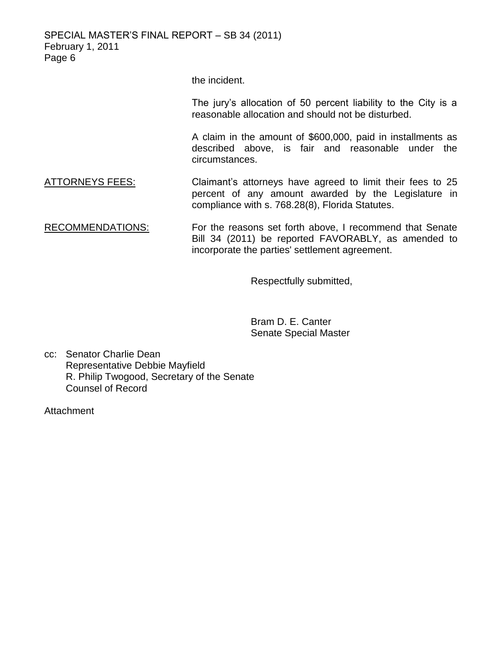SPECIAL MASTER'S FINAL REPORT – SB 34 (2011) February 1, 2011 Page 6

the incident.

The jury's allocation of 50 percent liability to the City is a reasonable allocation and should not be disturbed.

A claim in the amount of \$600,000, paid in installments as described above, is fair and reasonable under the circumstances.

- ATTORNEYS FEES: Claimant's attorneys have agreed to limit their fees to 25 percent of any amount awarded by the Legislature in compliance with s. 768.28(8), Florida Statutes.
- RECOMMENDATIONS: For the reasons set forth above, I recommend that Senate Bill 34 (2011) be reported FAVORABLY, as amended to incorporate the parties' settlement agreement.

Respectfully submitted,

Bram D. E. Canter Senate Special Master

cc: Senator Charlie Dean Representative Debbie Mayfield R. Philip Twogood, Secretary of the Senate Counsel of Record

**Attachment**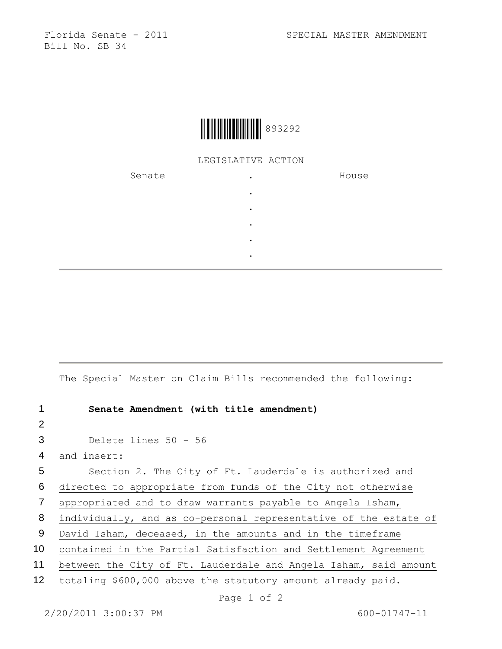Bill No. SB 34



## LEGISLATIVE ACTION

| Senate | $\bullet$ | House |
|--------|-----------|-------|
|        | $\bullet$ |       |
|        | $\bullet$ |       |
|        | $\bullet$ |       |
|        | $\bullet$ |       |
|        | $\bullet$ |       |

The Special Master on Claim Bills recommended the following:

| 1               | Senate Amendment (with title amendment)                          |
|-----------------|------------------------------------------------------------------|
| 2               |                                                                  |
| 3               | Delete lines $50 - 56$                                           |
| 4               | and insert:                                                      |
| 5               | Section 2. The City of Ft. Lauderdale is authorized and          |
| 6               | directed to appropriate from funds of the City not otherwise     |
| $\overline{7}$  | appropriated and to draw warrants payable to Angela Isham,       |
| 8               | individually, and as co-personal representative of the estate of |
| 9               | David Isham, deceased, in the amounts and in the timeframe       |
| 10 <sup>°</sup> | contained in the Partial Satisfaction and Settlement Agreement   |
| 11              | between the City of Ft. Lauderdale and Angela Isham, said amount |
| 12 <sub>2</sub> | totaling \$600,000 above the statutory amount already paid.      |
|                 | Page 1 of 2                                                      |